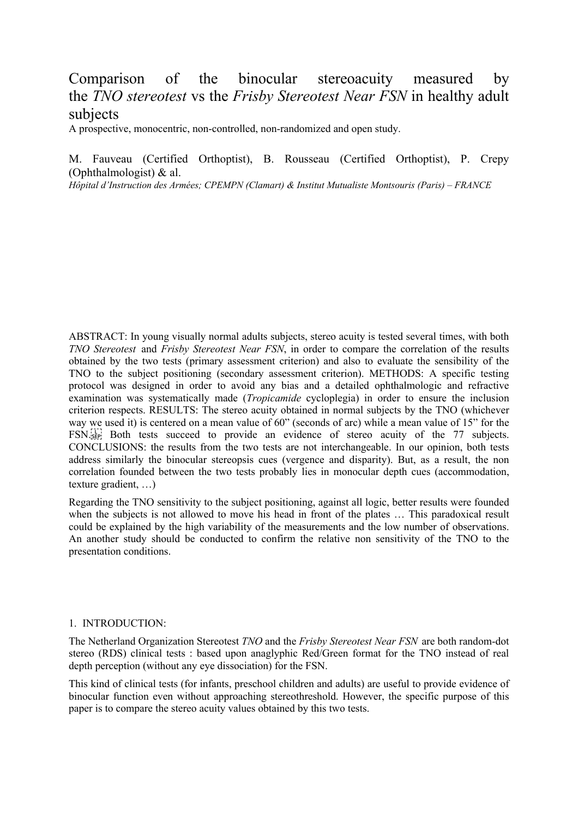# Comparison of the binocular stereoacuity measured by the *TNO stereotest* vs the *Frisby Stereotest Near FSN* in healthy adult subjects

A prospective, monocentric, non-controlled, non-randomized and open study.

M. Fauveau (Certified Orthoptist), B. Rousseau (Certified Orthoptist), P. Crepy (Ophthalmologist) & al.

*Hôpital d'Instruction des Armées; CPEMPN (Clamart) & Institut Mutualiste Montsouris (Paris) – FRANCE*

ABSTRACT: In young visually normal adults subjects, stereo acuity is tested several times, with both *TNO Stereotest* and *Frisby Stereotest Near FSN*, in order to compare the correlation of the results obtained by the two tests (primary assessment criterion) and also to evaluate the sensibility of the TNO to the subject positioning (secondary assessment criterion). METHODS: A specific testing protocol was designed in order to avoid any bias and a detailed ophthalmologic and refractive examination was systematically made (*Tropicamide* cycloplegia) in order to ensure the inclusion criterion respects. RESULTS: The stereo acuity obtained in normal subjects by the TNO (whichever way we used it) is centered on a mean value of 60" (seconds of arc) while a mean value of 15" for the  $FSN$ <sup>[17]</sup> Both tests succeed to provide an evidence of stereo acuity of the 77 subjects. CONCLUSIONS: the results from the two tests are not interchangeable. In our opinion, both tests address similarly the binocular stereopsis cues (vergence and disparity). But, as a result, the non correlation founded between the two tests probably lies in monocular depth cues (accommodation, texture gradient, …)

Regarding the TNO sensitivity to the subject positioning, against all logic, better results were founded when the subjects is not allowed to move his head in front of the plates … This paradoxical result could be explained by the high variability of the measurements and the low number of observations. An another study should be conducted to confirm the relative non sensitivity of the TNO to the presentation conditions.

#### 1. INTRODUCTION:

The Netherland Organization Stereotest *TNO* and the *Frisby Stereotest Near FSN* are both random-dot stereo (RDS) clinical tests : based upon anaglyphic Red/Green format for the TNO instead of real depth perception (without any eye dissociation) for the FSN.

This kind of clinical tests (for infants, preschool children and adults) are useful to provide evidence of binocular function even without approaching stereothreshold. However, the specific purpose of this paper is to compare the stereo acuity values obtained by this two tests.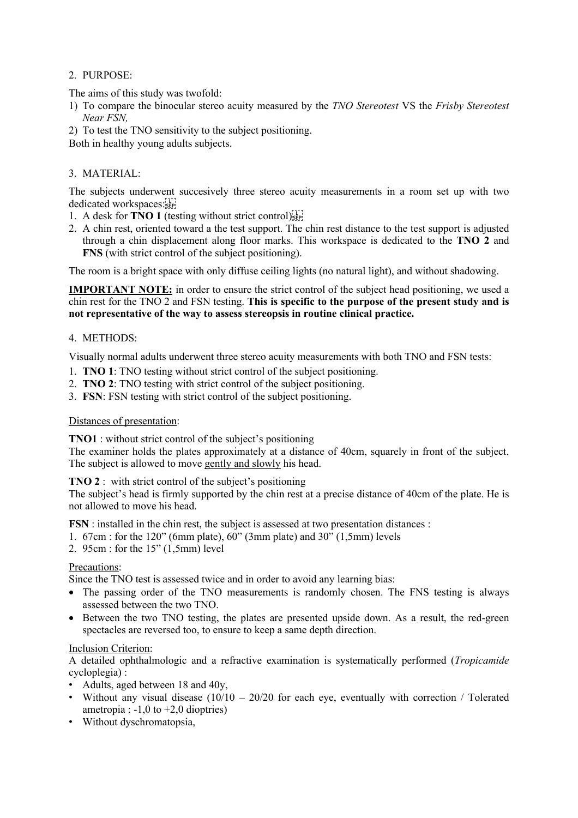## 2. PURPOSE:

The aims of this study was twofold:

- 1) To compare the binocular stereo acuity measured by the *TNO Stereotest* VS the *Frisby Stereotest Near FSN,*
- 2) To test the TNO sensitivity to the subject positioning.

Both in healthy young adults subjects.

## 3. MATERIAL:

The subjects underwent succesively three stereo acuity measurements in a room set up with two dedicated workspaces:

- 1. A desk for **TNO 1** (testing without strict control)
- 2. A chin rest, oriented toward a the test support. The chin rest distance to the test support is adjusted through a chin displacement along floor marks. This workspace is dedicated to the **TNO 2** and **FNS** (with strict control of the subject positioning).

The room is a bright space with only diffuse ceiling lights (no natural light), and without shadowing.

**IMPORTANT NOTE:** in order to ensure the strict control of the subject head positioning, we used a chin rest for the TNO 2 and FSN testing. **This is specific to the purpose of the present study and is not representative of the way to assess stereopsis in routine clinical practice.**

## 4. METHODS:

Visually normal adults underwent three stereo acuity measurements with both TNO and FSN tests:

- 1. **TNO 1**: TNO testing without strict control of the subject positioning.
- 2. **TNO 2**: TNO testing with strict control of the subject positioning.
- 3. **FSN**: FSN testing with strict control of the subject positioning.

### Distances of presentation:

**TNO1** : without strict control of the subject's positioning

The examiner holds the plates approximately at a distance of 40cm, squarely in front of the subject. The subject is allowed to move gently and slowly his head.

**TNO 2** : with strict control of the subject's positioning

The subject's head is firmly supported by the chin rest at a precise distance of 40cm of the plate. He is not allowed to move his head.

**FSN** : installed in the chin rest, the subject is assessed at two presentation distances :

- 1. 67cm : for the 120" (6mm plate), 60" (3mm plate) and 30" (1,5mm) levels
- 2. 95cm : for the 15" (1,5mm) level

#### Precautions:

Since the TNO test is assessed twice and in order to avoid any learning bias:

- The passing order of the TNO measurements is randomly chosen. The FNS testing is always assessed between the two TNO.
- Between the two TNO testing, the plates are presented upside down. As a result, the red-green spectacles are reversed too, to ensure to keep a same depth direction.

#### Inclusion Criterion:

A detailed ophthalmologic and a refractive examination is systematically performed (*Tropicamide* cycloplegia) :

- Adults, aged between 18 and 40y,
- Without any visual disease  $(10/10 20/20)$  for each eye, eventually with correction / Tolerated ametropia :  $-1,0$  to  $+2,0$  dioptries)
- Without dyschromatopsia,